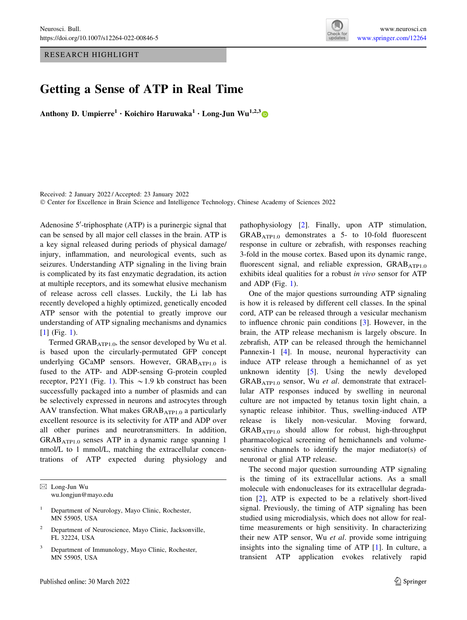RESEARCH HIGHLIGHT



## Getting a Sense of ATP in Real Time

Anthony D. Umpierre<sup>1</sup> • Koichiro Haruwaka<sup>1</sup> • Long-Jun Wu<sup>1,2,3</sup>

Received: 2 January 2022 / Accepted: 23 January 2022 © Center for Excellence in Brain Science and Intelligence Technology, Chinese Academy of Sciences 2022

Adenosine 5'-triphosphate (ATP) is a purinergic signal that can be sensed by all major cell classes in the brain. ATP is a key signal released during periods of physical damage/ injury, inflammation, and neurological events, such as seizures. Understanding ATP signaling in the living brain is complicated by its fast enzymatic degradation, its action at multiple receptors, and its somewhat elusive mechanism of release across cell classes. Luckily, the Li lab has recently developed a highly optimized, genetically encoded ATP sensor with the potential to greatly improve our understanding of ATP signaling mechanisms and dynamics [\[1](#page-2-0)] (Fig. [1](#page-1-0)).

Termed  $\text{GRAB}_{\text{ATP1.0}}$ , the sensor developed by Wu et al. is based upon the circularly-permutated GFP concept underlying GCaMP sensors. However,  $GRAB<sub>ATP1.0</sub>$  is fused to the ATP- and ADP-sensing G-protein coupled receptor, P2Y[1](#page-1-0) (Fig. 1). This  $\sim$  1.9 kb construct has been successfully packaged into a number of plasmids and can be selectively expressed in neurons and astrocytes through AAV transfection. What makes  $GRAB<sub>ATP1.0</sub>$  a particularly excellent resource is its selectivity for ATP and ADP over all other purines and neurotransmitters. In addition,  $GRAB<sub>ATP1.0</sub>$  senses ATP in a dynamic range spanning 1 nmol/L to 1 mmol/L, matching the extracellular concentrations of ATP expected during physiology and pathophysiology [\[2](#page-2-0)]. Finally, upon ATP stimulation, GRABATP1.0 demonstrates a 5- to 10-fold fluorescent response in culture or zebrafish, with responses reaching 3-fold in the mouse cortex. Based upon its dynamic range, fluorescent signal, and reliable expression,  $GRAB<sub>ATP1.0</sub>$ exhibits ideal qualities for a robust in vivo sensor for ATP and ADP (Fig. [1\)](#page-1-0).

One of the major questions surrounding ATP signaling is how it is released by different cell classes. In the spinal cord, ATP can be released through a vesicular mechanism to influence chronic pain conditions [[3\]](#page-2-0). However, in the brain, the ATP release mechanism is largely obscure. In zebrafish, ATP can be released through the hemichannel Pannexin-1 [[4\]](#page-2-0). In mouse, neuronal hyperactivity can induce ATP release through a hemichannel of as yet unknown identity [\[5](#page-2-0)]. Using the newly developed  $GRAB<sub>ATP1.0</sub>$  sensor, Wu *et al.* demonstrate that extracellular ATP responses induced by swelling in neuronal culture are not impacted by tetanus toxin light chain, a synaptic release inhibitor. Thus, swelling-induced ATP release is likely non-vesicular. Moving forward, GRABATP1.0 should allow for robust, high-throughput pharmacological screening of hemichannels and volumesensitive channels to identify the major mediator(s) of neuronal or glial ATP release.

The second major question surrounding ATP signaling is the timing of its extracellular actions. As a small molecule with endonucleases for its extracellular degradation [[2\]](#page-2-0), ATP is expected to be a relatively short-lived signal. Previously, the timing of ATP signaling has been studied using microdialysis, which does not allow for realtime measurements or high sensitivity. In characterizing their new ATP sensor, Wu et al. provide some intriguing insights into the signaling time of ATP [\[1](#page-2-0)]. In culture, a transient ATP application evokes relatively rapid

 $\boxtimes$  Long-Jun Wu wu.longjun@mayo.edu

<sup>&</sup>lt;sup>1</sup> Department of Neurology, Mayo Clinic, Rochester, MN 55905, USA

Department of Neuroscience, Mayo Clinic, Jacksonville, FL 32224, USA

Department of Immunology, Mayo Clinic, Rochester, MN 55905, USA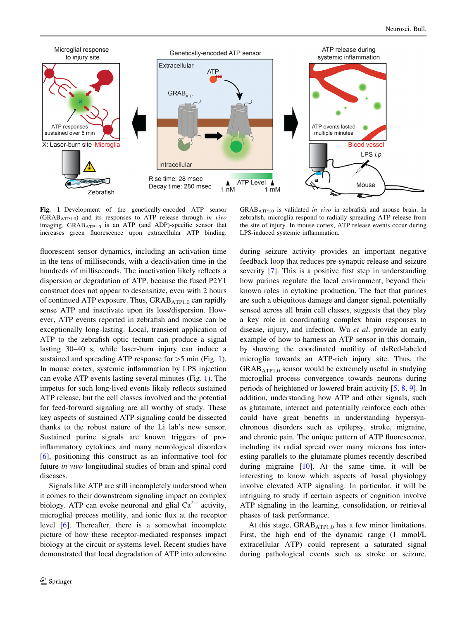<span id="page-1-0"></span>

Fig. 1 Development of the genetically-encoded ATP sensor (GRABATP1.0) and its responses to ATP release through in vivo imaging. GRAB<sub>ATP1.0</sub> is an ATP (and ADP)-specific sensor that increases green fluorescence upon extracellular ATP binding.

fluorescent sensor dynamics, including an activation time in the tens of milliseconds, with a deactivation time in the hundreds of milliseconds. The inactivation likely reflects a dispersion or degradation of ATP, because the fused P2Y1 construct does not appear to desensitize, even with 2 hours of continued ATP exposure. Thus,  $GRAB<sub>ATP1.0</sub>$  can rapidly sense ATP and inactivate upon its loss/dispersion. However, ATP events reported in zebrafish and mouse can be exceptionally long-lasting. Local, transient application of ATP to the zebrafish optic tectum can produce a signal lasting 30–40 s, while laser-burn injury can induce a sustained and spreading ATP response for  $>5$  min (Fig. 1). In mouse cortex, systemic inflammation by LPS injection can evoke ATP events lasting several minutes (Fig. 1). The impetus for such long-lived events likely reflects sustained ATP release, but the cell classes involved and the potential for feed-forward signaling are all worthy of study. These key aspects of sustained ATP signaling could be dissected thanks to the robust nature of the Li lab's new sensor. Sustained purine signals are known triggers of proinflammatory cytokines and many neurological disorders [\[6](#page-2-0)], positioning this construct as an informative tool for future in vivo longitudinal studies of brain and spinal cord diseases.

Signals like ATP are still incompletely understood when it comes to their downstream signaling impact on complex biology. ATP can evoke neuronal and glial  $Ca^{2+}$  activity, microglial process motility, and ionic flux at the receptor level [\[6](#page-2-0)]. Thereafter, there is a somewhat incomplete picture of how these receptor-mediated responses impact biology at the circuit or systems level. Recent studies have demonstrated that local degradation of ATP into adenosine

GRAB<sub>ATP1.0</sub> is validated in vivo in zebrafish and mouse brain. In zebrafish, microglia respond to radially spreading ATP release from the site of injury. In mouse cortex, ATP release events occur during LPS-induced systemic inflammation.

during seizure activity provides an important negative feedback loop that reduces pre-synaptic release and seizure severity [\[7](#page-2-0)]. This is a positive first step in understanding how purines regulate the local environment, beyond their known roles in cytokine production. The fact that purines are such a ubiquitous damage and danger signal, potentially sensed across all brain cell classes, suggests that they play a key role in coordinating complex brain responses to disease, injury, and infection. Wu et al. provide an early example of how to harness an ATP sensor in this domain, by showing the coordinated motility of dsRed-labeled microglia towards an ATP-rich injury site. Thus, the  $GRAB<sub>ATPI.0</sub>$  sensor would be extremely useful in studying microglial process convergence towards neurons during periods of heightened or lowered brain activity [[5,](#page-2-0) [8](#page-2-0), [9](#page-2-0)]. In addition, understanding how ATP and other signals, such as glutamate, interact and potentially reinforce each other could have great benefits in understanding hypersynchronous disorders such as epilepsy, stroke, migraine, and chronic pain. The unique pattern of ATP fluorescence, including its radial spread over many microns has interesting parallels to the glutamate plumes recently described during migraine [\[10](#page-2-0)]. At the same time, it will be interesting to know which aspects of basal physiology involve elevated ATP signaling. In particular, it will be intriguing to study if certain aspects of cognition involve ATP signaling in the learning, consolidation, or retrieval phases of task performance.

At this stage, GRAB<sub>ATP1.0</sub> has a few minor limitations. First, the high end of the dynamic range (1 mmol/L extracellular ATP) could represent a saturated signal during pathological events such as stroke or seizure.